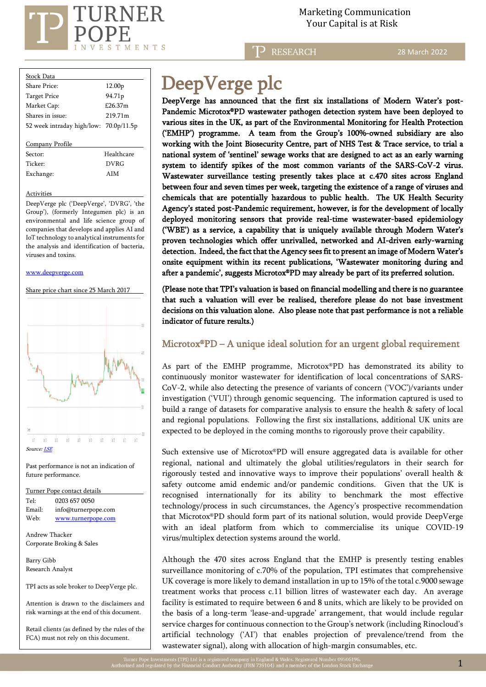

 Marketing Communication  $\mathrm{RNER} \hspace{2.5cm}$ Marketing Communicat<br>Your Capital is at Risk

RESEARCH

28 March 2022

| Stock Data                             |                     |
|----------------------------------------|---------------------|
| Share Price:                           | 12.00 <sub>p</sub>  |
| <b>Target Price</b>                    | 94.71 <sub>p</sub>  |
| Market Cap:                            | £26.37m             |
| Shares in issue:                       | 219 71 <sub>m</sub> |
| 52 week intraday high/low: 70.0p/11.5p |                     |
|                                        |                     |
| Company Profile                        |                     |
| Sector:                                | Healthcare          |
| Ticker <sup>.</sup>                    | DVRG                |
| Exchange:                              | AIM                 |

**Activities** 

DeepVerge plc ('DeepVerge', 'DVRG', 'the Group'), (formerly Integumen plc) is an environmental and life science group of companies that develops and applies AI and IoT technology to analytical instruments for the analysis and identification of bacteria, viruses and toxins.

#### [www.deepverge.com](http://www.deepverge.com/)

Share price chart since 25 March 2017



Past performance is not an indication of future performance.

Turner Pope contact details Tel: [0203](tel:0203) 657 0050 Email: info@turnerpope.com Web: [www.turnerpope.com](http://www.turnerpope.com/)

Andrew Thacker Corporate Broking & Sales

Barry Gibb Research Analyst

֡֡֡֡֡֡֡

TPI acts as sole broker to DeepVerge plc.

Attention is drawn to the disclaimers and risk warnings at the end of this document.

Retail clients (as defined by the rules of the FCA) must not rely on this document.

# DeepVerge plc

DeepVerge has announced that the first six installations of Modern Water's post-Pandemic Microtox®PD wastewater pathogen detection system have been deployed to various sites in the UK, as part of the Environmental Monitoring for Health Protection ('EMHP') programme. A team from the Group's 100%-owned subsidiary are also working with the Joint Biosecurity Centre, part of NHS Test & Trace service, to trial a national system of 'sentinel' sewage works that are designed to act as an early warning system to identify spikes of the most common variants of the SARS-CoV-2 virus. Wastewater surveillance testing presently takes place at c.470 sites across England between four and seven times per week, targeting the existence of a range of viruses and chemicals that are potentially hazardous to public health. The UK Health Security Agency's stated post-Pandemic requirement, however, is for the development of locally deployed monitoring sensors that provide real-time wastewater-based epidemiology ('WBE') as a service, a capability that is uniquely available through Modern Water's proven technologies which offer unrivalled, networked and AI-driven early-warning detection. Indeed, the fact that the Agency sees fit to present an image of Modern Water's onsite equipment within its recent publications, 'Wastewater monitoring during and after a pandemic', suggests Microtox®PD may already be part of its preferred solution.

(Please note that TPI's valuation is based on financial modelling and there is no guarantee that such a valuation will ever be realised, therefore please do not base investment decisions on this valuation alone. Also please note that past performance is not a reliable indicator of future results.)

#### Microtox<sup>®</sup>PD – A unique ideal solution for an urgent global requirement

As part of the EMHP programme, Microtox®PD has demonstrated its ability to continuously monitor wastewater for identification of local concentrations of SARS-CoV-2, while also detecting the presence of variants of concern ('VOC')/variants under investigation ('VUI') through genomic sequencing. The information captured is used to build a range of datasets for comparative analysis to ensure the health & safety of local and regional populations. Following the first six installations, additional UK units are expected to be deployed in the coming months to rigorously prove their capability.

Such extensive use of Microtox®PD will ensure aggregated data is available for other regional, national and ultimately the global utilities/regulators in their search for rigorously tested and innovative ways to improve their populations' overall health & safety outcome amid endemic and/or pandemic conditions. Given that the UK is recognised internationally for its ability to benchmark the most effective technology/process in such circumstances, the Agency's prospective recommendation that Microtox®PD should form part of its national solution, would provide DeepVerge with an ideal platform from which to commercialise its unique COVID-19 virus/multiplex detection systems around the world.

Although the 470 sites across England that the EMHP is presently testing enables surveillance monitoring of c.70% of the population, TPI estimates that comprehensive UK coverage is more likely to demand installation in up to 15% of the total c.9000 sewage treatment works that process c.11 billion litres of wastewater each day. An average facility is estimated to require between 6 and 8 units, which are likely to be provided on the basis of a long-term 'lease-and-upgrade' arrangement, that would include regular service charges for continuous connection to the Group's network (including Rinocloud's artificial technology ('AI') that enables projection of prevalence/trend from the wastewater signal), along with allocation of high-margin consumables, etc.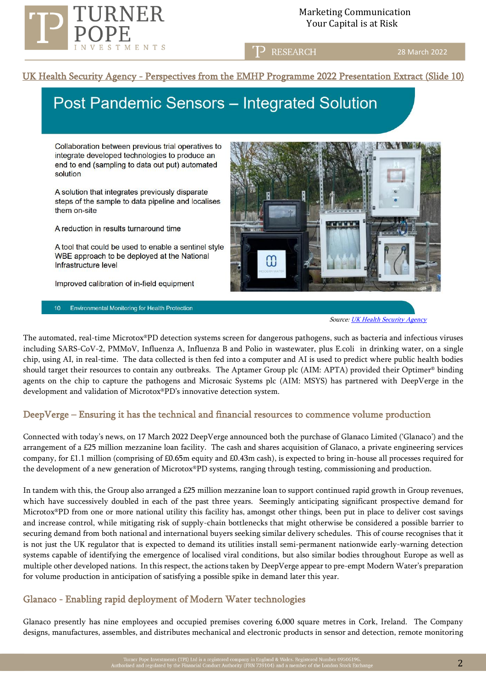

 Marketing Communication  $R\text{NER}$  Marketing Communication (Narketing Communication ) and  $R\text{NER}$ 

T<sup>P</sup> RESEARCH

28 March 2022

UK Health Security Agency - Perspectives from the EMHP Programme 2022 Presentation Extract (Slide 10)

## **Post Pandemic Sensors - Integrated Solution**

Collaboration between previous trial operatives to integrate developed technologies to produce an end to end (sampling to data out put) automated solution

A solution that integrates previously disparate steps of the sample to data pipeline and localises them on-site

A reduction in results turnaround time

A tool that could be used to enable a sentinel style WBE approach to be deployed at the National Infrastructure level

Improved calibration of in-field equipment

 $10$ Environmental Monitoring for Health Protection





The automated, real-time Microtox®PD detection systems screen for dangerous pathogens, such as bacteria and infectious viruses including SARS-CoV-2, PMMoV, Influenza A, Influenza B and Polio in wastewater, plus E.coli in drinking water, on a single chip, using AI, in real-time. The data collected is then fed into a computer and AI is used to predict where public health bodies should target their resources to contain any outbreaks. The Aptamer Group plc (AIM: APTA) provided their Optimer® binding agents on the chip to capture the pathogens and Microsaic Systems plc (AIM: MSYS) has partnered with DeepVerge in the development and validation of Microtox®PD's innovative detection system.

## DeepVerge – Ensuring it has the technical and financial resources to commence volume production

Connected with today's news, on 17 March 2022 DeepVerge announced both the purchase of Glanaco Limited ('Glanaco') and the arrangement of a £25 million mezzanine loan facility. The cash and shares acquisition of Glanaco, a private engineering services company, for £1.1 million (comprising of £0.65m equity and £0.43m cash), is expected to bring in-house all processes required for the development of a new generation of Microtox®PD systems, ranging through testing, commissioning and production.

In tandem with this, the Group also arranged a £25 million mezzanine loan to support continued rapid growth in Group revenues, which have successively doubled in each of the past three years. Seemingly anticipating significant prospective demand for Microtox®PD from one or more national utility this facility has, amongst other things, been put in place to deliver cost savings and increase control, while mitigating risk of supply-chain bottlenecks that might otherwise be considered a possible barrier to securing demand from both national and international buyers seeking similar delivery schedules. This of course recognises that it is not just the UK regulator that is expected to demand its utilities install semi-permanent nationwide early-warning detection systems capable of identifying the emergence of localised viral conditions, but also similar bodies throughout Europe as well as multiple other developed nations. In this respect, the actions taken by DeepVerge appear to pre-empt Modern Water's preparation for volume production in anticipation of satisfying a possible spike in demand later this year.

## Glanaco - Enabling rapid deployment of Modern Water technologies

Glanaco presently has nine employees and occupied premises covering 6,000 square metres in Cork, Ireland. The Company designs, manufactures, assembles, and distributes mechanical and electronic products in sensor and detection, remote monitoring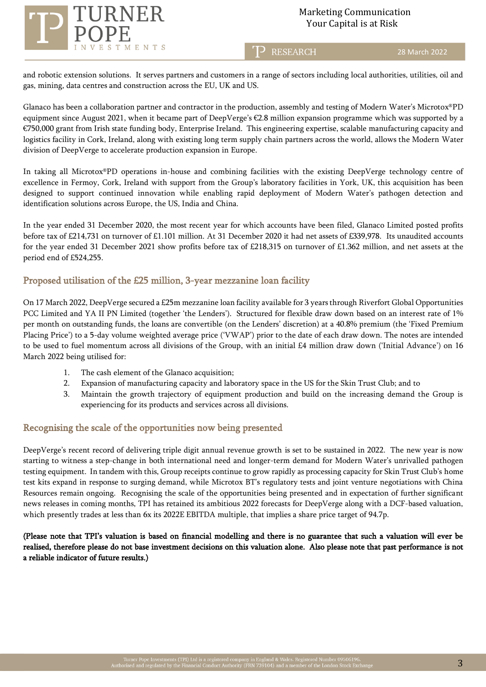

TP RESEARCH

28 March 2022

and robotic extension solutions. It serves partners and customers in a range of sectors including local authorities, utilities, oil and gas, mining, data centres and construction across the EU, UK and US.

Glanaco has been a collaboration partner and contractor in the production, assembly and testing of Modern Water's Microtox®PD equipment since August 2021, when it became part of DeepVerge's €2.8 million expansion programme which was supported by a €750,000 grant from Irish state funding body, Enterprise Ireland. This engineering expertise, scalable manufacturing capacity and logistics facility in Cork, Ireland, along with existing long term supply chain partners across the world, allows the Modern Water division of DeepVerge to accelerate production expansion in Europe.

In taking all Microtox®PD operations in-house and combining facilities with the existing DeepVerge technology centre of excellence in Fermoy, Cork, Ireland with support from the Group's laboratory facilities in York, UK, this acquisition has been designed to support continued innovation while enabling rapid deployment of Modern Water's pathogen detection and identification solutions across Europe, the US, India and China.

In the year ended 31 December 2020, the most recent year for which accounts have been filed, Glanaco Limited posted profits before tax of £214,731 on turnover of £1.101 million. At 31 December 2020 it had net assets of £339,978. Its unaudited accounts for the year ended 31 December 2021 show profits before tax of £218,315 on turnover of £1.362 million, and net assets at the period end of £524,255.

## Proposed utilisation of the £25 million, 3-year mezzanine loan facility

On 17 March 2022, DeepVerge secured a £25m mezzanine loan facility available for 3 years through Riverfort Global Opportunities PCC Limited and YA II PN Limited (together 'the Lenders'). Structured for flexible draw down based on an interest rate of 1% per month on outstanding funds, the loans are convertible (on the Lenders' discretion) at a 40.8% premium (the 'Fixed Premium Placing Price') to a 5-day volume weighted average price ('VWAP') prior to the date of each draw down. The notes are intended to be used to fuel momentum across all divisions of the Group, with an initial £4 million draw down ('Initial Advance') on 16 March 2022 being utilised for:

- 1. The cash element of the Glanaco acquisition;
- 2. Expansion of manufacturing capacity and laboratory space in the US for the Skin Trust Club; and to
- 3. Maintain the growth trajectory of equipment production and build on the increasing demand the Group is experiencing for its products and services across all divisions.

## Recognising the scale of the opportunities now being presented

DeepVerge's recent record of delivering triple digit annual revenue growth is set to be sustained in 2022. The new year is now starting to witness a step-change in both international need and longer-term demand for Modern Water's unrivalled pathogen testing equipment. In tandem with this, Group receipts continue to grow rapidly as processing capacity for Skin Trust Club's home test kits expand in response to surging demand, while Microtox BT's regulatory tests and joint venture negotiations with China Resources remain ongoing. Recognising the scale of the opportunities being presented and in expectation of further significant news releases in coming months, TPI has retained its ambitious 2022 forecasts for DeepVerge along with a DCF-based valuation, which presently trades at less than 6x its 2022E EBITDA multiple, that implies a share price target of 94.7p.

### (Please note that TPI's valuation is based on financial modelling and there is no guarantee that such a valuation will ever be realised, therefore please do not base investment decisions on this valuation alone. Also please note that past performance is not a reliable indicator of future results.)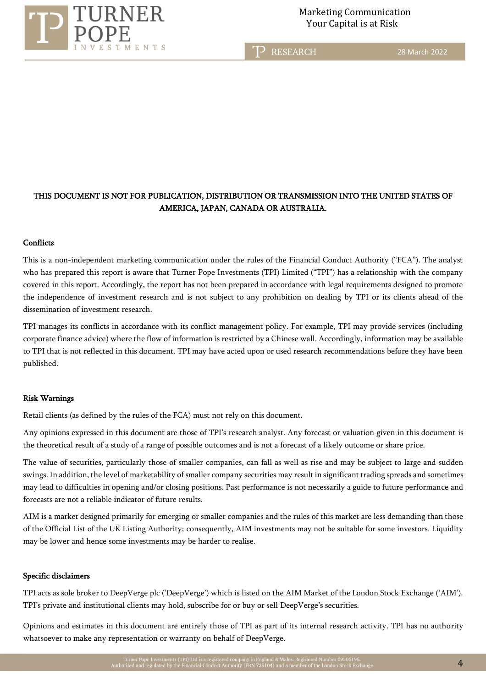

T<sub>2</sub> RESEARCH

28 March 2022

## THIS DOCUMENT IS NOT FOR PUBLICATION, DISTRIBUTION OR TRANSMISSION INTO THE UNITED STATES OF AMERICA, JAPAN, CANADA OR AUSTRALIA.

#### **Conflicts**

This is a non-independent marketing communication under the rules of the Financial Conduct Authority ("FCA"). The analyst who has prepared this report is aware that Turner Pope Investments (TPI) Limited ("TPI") has a relationship with the company covered in this report. Accordingly, the report has not been prepared in accordance with legal requirements designed to promote the independence of investment research and is not subject to any prohibition on dealing by TPI or its clients ahead of the dissemination of investment research.

TPI manages its conflicts in accordance with its conflict management policy. For example, TPI may provide services (including corporate finance advice) where the flow of information is restricted by a Chinese wall. Accordingly, information may be available to TPI that is not reflected in this document. TPI may have acted upon or used research recommendations before they have been published.

#### Risk Warnings

Retail clients (as defined by the rules of the FCA) must not rely on this document.

Any opinions expressed in this document are those of TPI's research analyst. Any forecast or valuation given in this document is the theoretical result of a study of a range of possible outcomes and is not a forecast of a likely outcome or share price.

The value of securities, particularly those of smaller companies, can fall as well as rise and may be subject to large and sudden swings. In addition, the level of marketability of smaller company securities may result in significant trading spreads and sometimes may lead to difficulties in opening and/or closing positions. Past performance is not necessarily a guide to future performance and forecasts are not a reliable indicator of future results.

AIM is a market designed primarily for emerging or smaller companies and the rules of this market are less demanding than those of the Official List of the UK Listing Authority; consequently, AIM investments may not be suitable for some investors. Liquidity may be lower and hence some investments may be harder to realise.

#### Specific disclaimers

TPI acts as sole broker to DeepVerge plc ('DeepVerge') which is listed on the AIM Market of the London Stock Exchange ('AIM'). TPI's private and institutional clients may hold, subscribe for or buy or sell DeepVerge's securities.

Opinions and estimates in this document are entirely those of TPI as part of its internal research activity. TPI has no authority whatsoever to make any representation or warranty on behalf of DeepVerge.